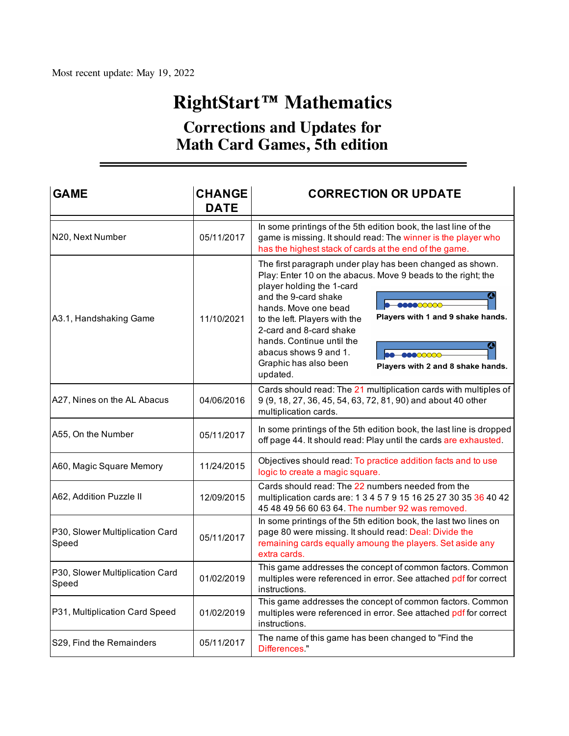# **RightStart™ Mathematics**

# **Corrections and Updates for Math Card Games, 5th edition**

| <b>GAME</b>                              | <b>CHANGE</b><br><b>DATE</b> | <b>CORRECTION OR UPDATE</b>                                                                                                                                                                                                                                                                                                                                                                                                                                            |  |  |  |  |  |
|------------------------------------------|------------------------------|------------------------------------------------------------------------------------------------------------------------------------------------------------------------------------------------------------------------------------------------------------------------------------------------------------------------------------------------------------------------------------------------------------------------------------------------------------------------|--|--|--|--|--|
| N20, Next Number                         | 05/11/2017                   | In some printings of the 5th edition book, the last line of the<br>game is missing. It should read: The winner is the player who<br>has the highest stack of cards at the end of the game.                                                                                                                                                                                                                                                                             |  |  |  |  |  |
| A3.1, Handshaking Game                   | 11/10/2021                   | The first paragraph under play has been changed as shown.<br>Play: Enter 10 on the abacus. Move 9 beads to the right; the<br>player holding the 1-card<br>and the 9-card shake<br>888800000-<br>hands. Move one bead<br>Players with 1 and 9 shake hands.<br>to the left. Players with the<br>2-card and 8-card shake<br>hands. Continue until the<br>O<br>abacus shows 9 and 1.<br>00000000<br>Graphic has also been<br>Players with 2 and 8 shake hands.<br>updated. |  |  |  |  |  |
| A27, Nines on the AL Abacus              | 04/06/2016                   | Cards should read: The 21 multiplication cards with multiples of<br>9 (9, 18, 27, 36, 45, 54, 63, 72, 81, 90) and about 40 other<br>multiplication cards.                                                                                                                                                                                                                                                                                                              |  |  |  |  |  |
| A55, On the Number                       | 05/11/2017                   | In some printings of the 5th edition book, the last line is dropped<br>off page 44. It should read: Play until the cards are exhausted.                                                                                                                                                                                                                                                                                                                                |  |  |  |  |  |
| A60, Magic Square Memory                 | 11/24/2015                   | Objectives should read: To practice addition facts and to use<br>logic to create a magic square.                                                                                                                                                                                                                                                                                                                                                                       |  |  |  |  |  |
| A62, Addition Puzzle II                  | 12/09/2015                   | Cards should read: The 22 numbers needed from the<br>multiplication cards are: 1 3 4 5 7 9 15 16 25 27 30 35 36 40 42<br>45 48 49 56 60 63 64. The number 92 was removed.                                                                                                                                                                                                                                                                                              |  |  |  |  |  |
| P30, Slower Multiplication Card<br>Speed | 05/11/2017                   | In some printings of the 5th edition book, the last two lines on<br>page 80 were missing. It should read: Deal: Divide the<br>remaining cards equally amoung the players. Set aside any<br>extra cards.                                                                                                                                                                                                                                                                |  |  |  |  |  |
| P30, Slower Multiplication Card<br>Speed | 01/02/2019                   | This game addresses the concept of common factors. Common<br>multiples were referenced in error. See attached pdf for correct<br>instructions.                                                                                                                                                                                                                                                                                                                         |  |  |  |  |  |
| P31, Multiplication Card Speed           | 01/02/2019                   | This game addresses the concept of common factors. Common<br>multiples were referenced in error. See attached pdf for correct<br>instructions.                                                                                                                                                                                                                                                                                                                         |  |  |  |  |  |
| S29, Find the Remainders                 | 05/11/2017                   | The name of this game has been changed to "Find the<br>Differences.                                                                                                                                                                                                                                                                                                                                                                                                    |  |  |  |  |  |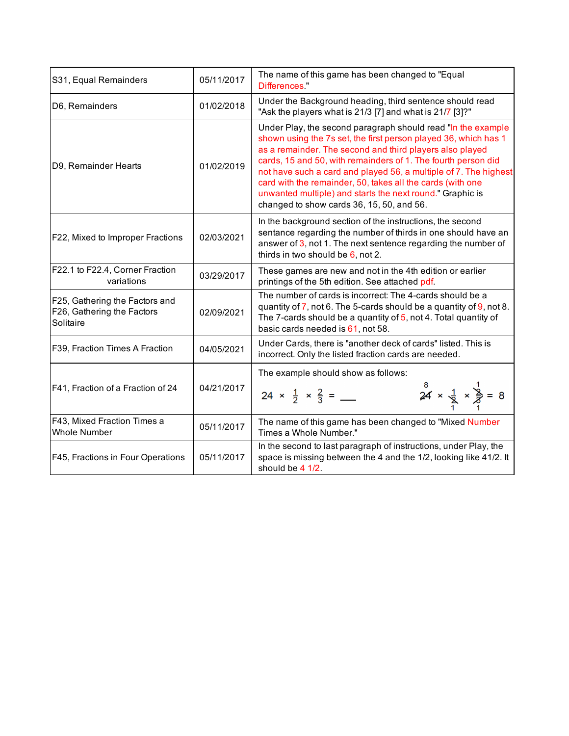| S31, Equal Remainders                                                     | 05/11/2017 | The name of this game has been changed to "Equal<br>Differences "                                                                                                                                                                                                                                                                                                                                                                                                                                        |  |  |  |  |  |
|---------------------------------------------------------------------------|------------|----------------------------------------------------------------------------------------------------------------------------------------------------------------------------------------------------------------------------------------------------------------------------------------------------------------------------------------------------------------------------------------------------------------------------------------------------------------------------------------------------------|--|--|--|--|--|
| D6, Remainders                                                            | 01/02/2018 | Under the Background heading, third sentence should read<br>"Ask the players what is 21/3 [7] and what is 21/7 [3]?"                                                                                                                                                                                                                                                                                                                                                                                     |  |  |  |  |  |
| D9, Remainder Hearts                                                      | 01/02/2019 | Under Play, the second paragraph should read "In the example<br>shown using the 7s set, the first person played 36, which has 1<br>as a remainder. The second and third players also played<br>cards, 15 and 50, with remainders of 1. The fourth person did<br>not have such a card and played 56, a multiple of 7. The highest<br>card with the remainder, 50, takes all the cards (with one<br>unwanted multiple) and starts the next round." Graphic is<br>changed to show cards 36, 15, 50, and 56. |  |  |  |  |  |
| F22, Mixed to Improper Fractions                                          | 02/03/2021 | In the background section of the instructions, the second<br>sentance regarding the number of thirds in one should have an<br>answer of 3, not 1. The next sentence regarding the number of<br>thirds in two should be $6$ , not 2.                                                                                                                                                                                                                                                                      |  |  |  |  |  |
| F22.1 to F22.4, Corner Fraction<br>variations                             | 03/29/2017 | These games are new and not in the 4th edition or earlier<br>printings of the 5th edition. See attached pdf.                                                                                                                                                                                                                                                                                                                                                                                             |  |  |  |  |  |
| F25, Gathering the Factors and<br>F26, Gathering the Factors<br>Solitaire | 02/09/2021 | The number of cards is incorrect: The 4-cards should be a<br>quantity of $\overline{7}$ , not 6. The 5-cards should be a quantity of $\overline{9}$ , not 8.<br>The 7-cards should be a quantity of $5$ , not 4. Total quantity of<br>basic cards needed is 61, not 58.                                                                                                                                                                                                                                  |  |  |  |  |  |
| F39, Fraction Times A Fraction                                            | 04/05/2021 | Under Cards, there is "another deck of cards" listed. This is<br>incorrect. Only the listed fraction cards are needed.                                                                                                                                                                                                                                                                                                                                                                                   |  |  |  |  |  |
| F41, Fraction of a Fraction of 24                                         | 04/21/2017 | The example should show as follows:<br>$24 \times \frac{1}{2} \times \frac{1}{2} = 8$                                                                                                                                                                                                                                                                                                                                                                                                                    |  |  |  |  |  |
| F43, Mixed Fraction Times a<br><b>Whole Number</b>                        | 05/11/2017 | The name of this game has been changed to "Mixed Number<br>Times a Whole Number."                                                                                                                                                                                                                                                                                                                                                                                                                        |  |  |  |  |  |
| F45, Fractions in Four Operations                                         | 05/11/2017 | In the second to last paragraph of instructions, under Play, the<br>space is missing between the 4 and the 1/2, looking like 41/2. It<br>should be 4 1/2.                                                                                                                                                                                                                                                                                                                                                |  |  |  |  |  |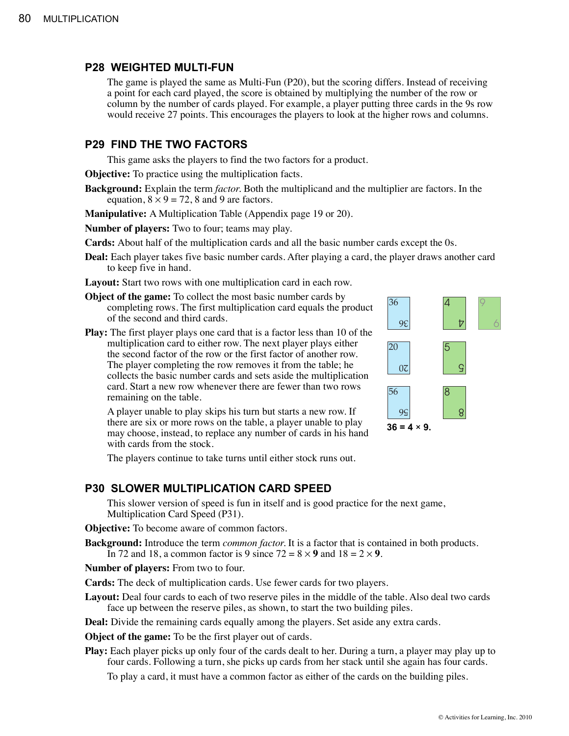#### **P28 WEIGHTED MULTI-FUN**

The game is played the same as Multi-Fun (P20), but the scoring differs. Instead of receiving a point for each card played, the score is obtained by multiplying the number of the row or column by the number of cards played. For example, a player putting three cards in the 9s row would receive 27 points. This encourages the players to look at the higher rows and columns.

#### **P29 FIND THE TWO FACTORS**

This game asks the players to find the two factors for a product.

**Objective:** To practice using the multiplication facts.

**Background:** Explain the term *factor.* Both the multiplicand and the multiplier are factors. In the equation,  $8 \times 9 = 72$ , 8 and 9 are factors.

**Manipulative:** A Multiplication Table (Appendix page 19 or 20).

**Number of players:** Two to four; teams may play.

**Cards:** About half of the multiplication cards and all the basic number cards except the 0s.

- **Deal:** Each player takes five basic number cards. After playing a card, the player draws another card to keep five in hand.
- **Layout:** Start two rows with one multiplication card in each row.
- **Object of the game:** To collect the most basic number cards by completing rows. The first multiplication card equals the product of the second and third cards.
- **Play:** The first player plays one card that is a factor less than 10 of the multiplication card to either row. The next player plays either the second factor of the row or the first factor of another row. The player completing the row removes it from the table; he collects the basic number cards and sets aside the multiplication card. Start a new row whenever there are fewer than two rows remaining on the table.

A player unable to play skips his turn but starts a new row. If there are six or more rows on the table, a player unable to play may choose, instead, to replace any number of cards in his hand with cards from the stock.

The players continue to take turns until either stock runs out.

#### **P30 SLOWER MULTIPLICATION CARD SPEED**

This slower version of speed is fun in itself and is good practice for the next game, Multiplication Card Speed (P31).

**Objective:** To become aware of common factors.

**Background:** Introduce the term *common factor.* It is a factor that is contained in both products. In 72 and 18, a common factor is 9 since  $72 = 8 \times 9$  and  $18 = 2 \times 9$ .

**Number of players:** From two to four.

**Cards:** The deck of multiplication cards. Use fewer cards for two players.

Layout: Deal four cards to each of two reserve piles in the middle of the table. Also deal two cards face up between the reserve piles, as shown, to start the two building piles.

**Deal:** Divide the remaining cards equally among the players. Set aside any extra cards.

**Object of the game:** To be the first player out of cards.

**Play:** Each player picks up only four of the cards dealt to her. During a turn, a player may play up to four cards. Following a turn, she picks up cards from her stack until she again has four cards.

To play a card, it must have a common factor as either of the cards on the building piles.

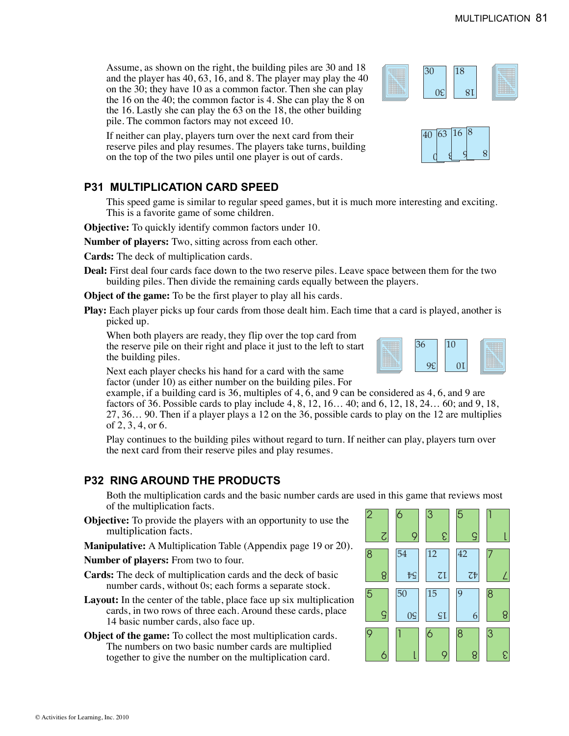Assume, as shown on the right, the building piles are 30 and 18 and the player has 40, 63, 16, and 8. The player may play the 40 on the 30; they have 10 as a common factor. Then she can play the 16 on the 40; the common factor is 4. She can play the 8 on the 16. Lastly she can play the 63 on the 18, the other building pile. The common factors may not exceed 10.

If neither can play, players turn over the next card from their reserve piles and play resumes. The players take turns, building on the top of the two piles until one player is out of cards.

# **P31 MULTIPLICATION CARD SPEED**

This speed game is similar to regular speed games, but it is much more interesting and exciting. This is a favorite game of some children.

**Objective:** To quickly identify common factors under 10.

**Number of players:** Two, sitting across from each other.

**Cards:** The deck of multiplication cards.

**Deal:** First deal four cards face down to the two reserve piles. Leave space between them for the two building piles. Then divide the remaining cards equally between the players.

**Object of the game:** To be the first player to play all his cards.

**Play:** Each player picks up four cards from those dealt him. Each time that a card is played, another is picked up.

When both players are ready, they flip over the top card from the reserve pile on their right and place it just to the left to start the building piles.

Next each player checks his hand for a card with the same factor (under 10) as either number on the building piles. For

example, if a building card is 36, multiples of 4, 6, and 9 can be considered as 4, 6, and 9 are factors of 36. Possible cards to play include 4, 8, 12, 16… 40; and 6, 12, 18, 24… 60; and 9, 18, 27, 36… 90. Then if a player plays a 12 on the 36, possible cards to play on the 12 are multiplies of 2, 3, 4, or 6.

Play continues to the building piles without regard to turn. If neither can play, players turn over the next card from their reserve piles and play resumes.

## **P32 RING AROUND THE PRODUCTS**

Both the multiplication cards and the basic number cards are used in this game that reviews most of the multiplication facts.

- **Objective:** To provide the players with an opportunity to use the multiplication facts.
- **Manipulative:** A Multiplication Table (Appendix page 19 or 20).

**Number of players:** From two to four.

- **Cards:** The deck of multiplication cards and the deck of basic number cards, without 0s; each forms a separate stock.
- **Layout:** In the center of the table, place face up six multiplication cards, in two rows of three each. Around these cards, place 14 basic number cards, also face up.
- **Object of the game:** To collect the most multiplication cards. The numbers on two basic number cards are multiplied together to give the number on the multiplication card.







18

18

30

 $0<sup>2</sup>$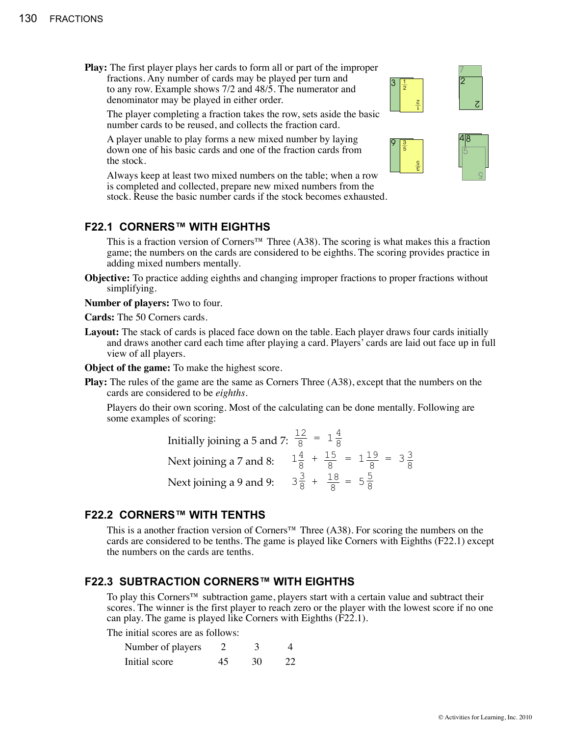**Play:** The first player plays her cards to form all or part of the improper fractions. Any number of cards may be played per turn and to any row. Example shows 7/2 and 48/5. The numerator and denominator may be played in either order.

The player completing a fraction takes the row, sets aside the basic number cards to be reused, and collects the fraction card.

A player unable to play forms a new mixed number by laying down one of his basic cards and one of the fraction cards from the stock.

Always keep at least two mixed numbers on the table; when a row is completed and collected, prepare new mixed numbers from the stock. Reuse the basic number cards if the stock becomes exhausted.

#### **F22.1 CORNERS™ WITH EIGHTHS**

This is a fraction version of Corners<sup>™</sup> Three (A38). The scoring is what makes this a fraction game; the numbers on the cards are considered to be eighths. The scoring provides practice in adding mixed numbers mentally.

**Objective:** To practice adding eighths and changing improper fractions to proper fractions without simplifying.

**Number of players:** Two to four.

**Cards:** The 50 Corners cards.

Layout: The stack of cards is placed face down on the table. Each player draws four cards initially and draws another card each time after playing a card. Players' cards are laid out face up in full view of all players.

**Object of the game:** To make the highest score.

**Play:** The rules of the game are the same as Corners Three (A38), except that the numbers on the cards are considered to be *eighths*.

Players do their own scoring. Most of the calculating can be done mentally. Following are some examples of scoring:

| Initially joining a 5 and 7: $\frac{12}{8}$ = $1\frac{4}{8}$                         |  |  |  |  |
|--------------------------------------------------------------------------------------|--|--|--|--|
| Next joining a 7 and 8: $1\frac{4}{8} + \frac{15}{8} = 1\frac{19}{8} = 3\frac{3}{8}$ |  |  |  |  |
| Next joining a 9 and 9: $3\frac{3}{8} + \frac{18}{8} = 5\frac{5}{8}$                 |  |  |  |  |

#### **F22.2 CORNERS™ WITH TENTHS**

This is a another fraction version of Corners™ Three (A38). For scoring the numbers on the cards are considered to be tenths. The game is played like Corners with Eighths (F22.1) except the numbers on the cards are tenths.

### **F22.3 SUBTRACTION CORNERS™ WITH EIGHTHS**

To play this Corners™ subtraction game, players start with a certain value and subtract their scores. The winner is the first player to reach zero or the player with the lowest score if no one can play. The game is played like Corners with Eighths (F22.1).

The initial scores are as follows:

| Number of players |    |    |    |
|-------------------|----|----|----|
| Initial score     | 45 | 30 | 22 |